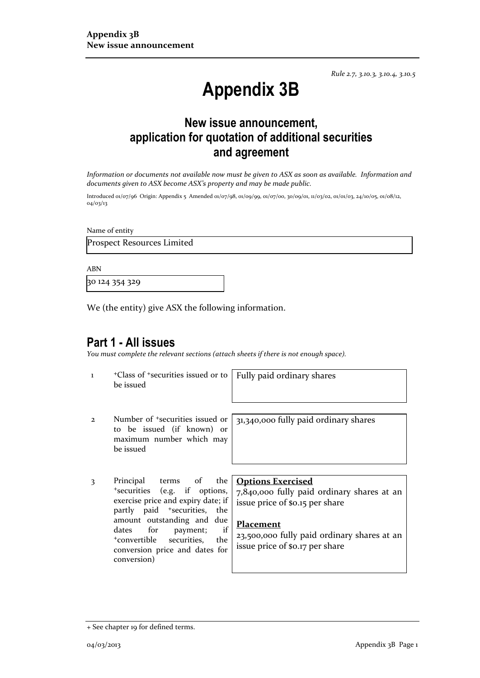*Rule 2.7, 3.10.3, 3.10.4, 3.10.5*

# **Appendix 3B**

## **New issue announcement, application for quotation of additional securities and agreement**

*Information or documents not available now must be given to ASX as soon as available. Information and documents given to ASX become ASX's property and may be made public.*

Introduced 01/07/96 Origin: Appendix 5 Amended 01/07/98, 01/09/99, 01/07/00, 30/09/01, 11/03/02, 01/01/03, 24/10/05, 01/08/12, 04/03/13

Name of entity

Prospect Resources Limited

ABN

30 124 354 329

We (the entity) give ASX the following information.

## **Part 1 - All issues**

*You must complete the relevant sections (attach sheets if there is not enough space).*

1 +Class of +securities issued or to be issued

Fully paid ordinary shares

2 Number of +securities issued or to be issued (if known) or maximum number which may be issued

31,340,000 fully paid ordinary shares

3 Principal terms of the +securities (e.g. if options, exercise price and expiry date; if partly paid +securities, the amount outstanding and due dates for payment; if +convertible securities, the conversion price and dates for conversion)

### **Options Exercised**

7,840,000 fully paid ordinary shares at an issue price of \$0.15 per share

### **Placement**

23,500,000 fully paid ordinary shares at an issue price of \$0.17 per share

<sup>+</sup> See chapter 19 for defined terms.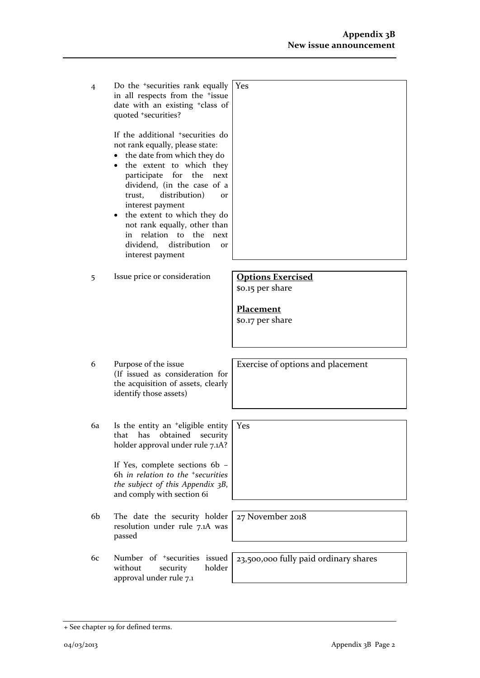4 Do the +securities rank equally in all respects from the +issue date with an existing +class of quoted +securities? Yes

> If the additional +securities do not rank equally, please state:

- the date from which they do
- the extent to which they participate for the next dividend, (in the case of a trust, distribution) or interest payment
- the extent to which they do not rank equally, other than in relation to the next dividend, distribution or interest payment
- 5 Issue price or consideration **Options Exercised**

\$0.15 per share

**Placement** \$0.17 per share

Yes

6 Purpose of the issue (If issued as consideration for the acquisition of assets, clearly identify those assets)

6a Is the entity an +eligible entity that has obtained security holder approval under rule 7.1A?

> If Yes, complete sections 6b – 6h *in relation to the +securities the subject of this Appendix 3B*, and comply with section 6i

- 6b The date the security holder resolution under rule 7.1A was passed
- 6c Number of +securities issued without security holder approval under rule 7.1

Exercise of options and placement

27 November 2018

23,500,000 fully paid ordinary shares

<sup>+</sup> See chapter 19 for defined terms.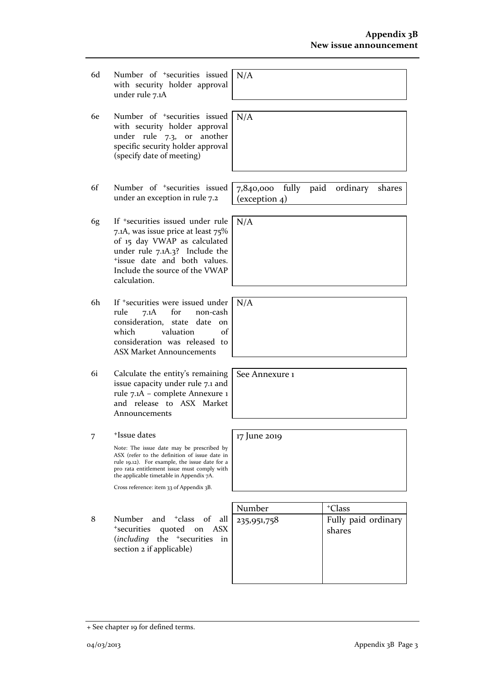- 6d Number of +securities issued with security holder approval under rule 7.1A
- 6e Number of +securities issued with security holder approval under rule 7.3, or another specific security holder approval (specify date of meeting)
- 6f Number of +securities issued under an exception in rule 7.2
- 6g If +securities issued under rule 7.1A, was issue price at least 75% of 15 day VWAP as calculated under rule 7.1A.3? Include the +issue date and both values. Include the source of the VWAP calculation.
- 6h If +securities were issued under rule 7.1A for non-cash consideration, state date on which valuation of consideration was released to ASX Market Announcements
- 6i Calculate the entity's remaining issue capacity under rule 7.1 and rule 7.1A – complete Annexure 1 and release to ASX Market Announcements
- 7 +Issue dates

Note: The issue date may be prescribed by ASX (refer to the definition of issue date in rule 19.12). For example, the issue date for a pro rata entitlement issue must comply with the applicable timetable in Appendix 7A.

Cross reference: item 33 of Appendix 3B.

8 Number and <sup>+</sup>class of all <sup>+</sup>securities quoted on ASX (*including* the +securities in section 2 if applicable)

| Number      | <sup>+</sup> Class            |
|-------------|-------------------------------|
| 235,951,758 | Fully paid ordinary<br>shares |
|             |                               |

N/A

N/A

N/A

7,840,000 fully paid ordinary shares (exception 4)

N/A

See Annexure 1

17 June 2019

+ See chapter 19 for defined terms.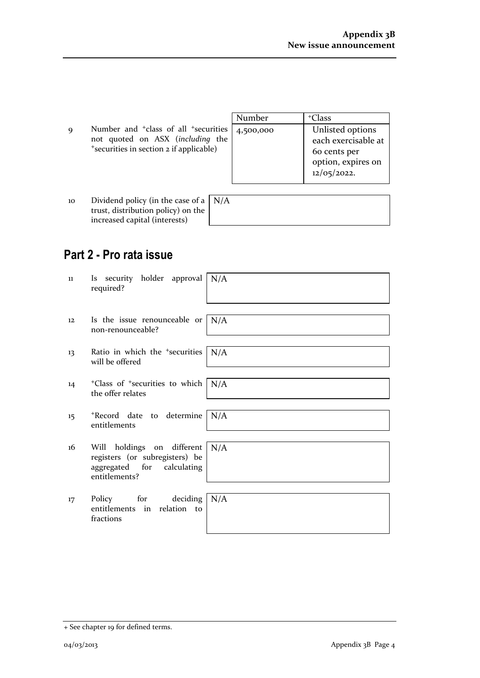|             |                                                            | Number | <sup>+</sup> Class  |
|-------------|------------------------------------------------------------|--------|---------------------|
| $\mathbf Q$ | Number and $\pm$ class of all $\pm$ securities   4,500,000 |        | Unlisted options    |
|             | not quoted on ASX (including the                           |        | each exercisable at |
|             | *securities in section 2 if applicable)                    |        | 60 cents per        |
|             |                                                            |        | option, expires on  |
|             |                                                            |        | 12/05/2022.         |

| 10 | Dividend policy (in the case of a $ N/A $ |  |
|----|-------------------------------------------|--|
|    | trust, distribution policy) on the        |  |
|    | increased capital (interests)             |  |

# **Part 2 - Pro rata issue**

| 11 | security holder approval $N/A$<br><i>ls</i><br>required?                                                    |     |
|----|-------------------------------------------------------------------------------------------------------------|-----|
| 12 | Is the issue renounceable or $\mid N/A \rangle$<br>non-renounceable?                                        |     |
| 13 | Ratio in which the <sup>+</sup> securities<br>will be offered                                               | N/A |
| 14 | <sup>+</sup> Class of <sup>+</sup> securities to which   N/A<br>the offer relates                           |     |
| 15 | *Record date to determine<br>entitlements                                                                   | N/A |
| 16 | Will holdings on different<br>registers (or subregisters) be<br>aggregated for calculating<br>entitlements? | N/A |
| 17 | Policy for deciding $N/A$<br>entitlements in relation to<br>fractions                                       |     |

<sup>+</sup> See chapter 19 for defined terms.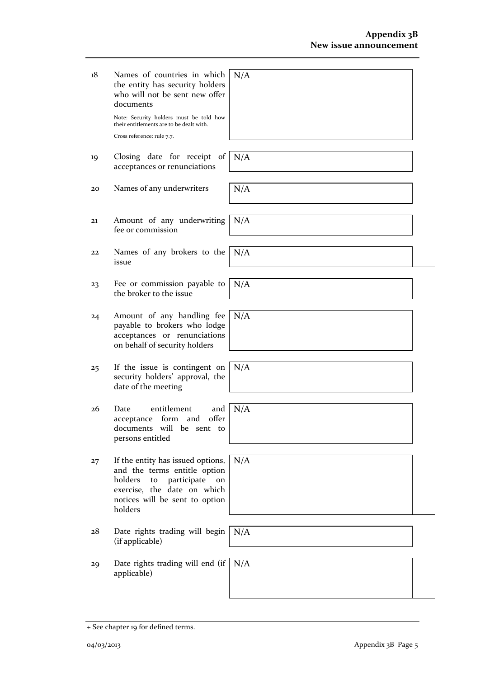+ See chapter 19 for defined terms.

18 Names of countries in which the entity has security holders who will not be sent new offer documents N/A

> Note: Security holders must be told how their entitlements are to be dealt with. Cross reference: rule 7.7.

- 19 Closing date for receipt of acceptances or renunciations
- 20 Names of any underwriters  $N/A$
- 21 Amount of any underwriting fee or commission N/A
- 22 Names of any brokers to the issue
- 23 Fee or commission payable to the broker to the issue
- 24 Amount of any handling fee payable to brokers who lodge acceptances or renunciations on behalf of security holders
- 25 If the issue is contingent on security holders' approval, the date of the meeting
- 26 Date entitlement and acceptance form and offer documents will be sent to persons entitled
- 27 If the entity has issued options, and the terms entitle option holders to participate on exercise, the date on which notices will be sent to option holders
- 28 Date rights trading will begin (if applicable)
- 29 Date rights trading will end (if N/Aapplicable)

N/A

N/A

N/A

N/A

N/A

N/A

N/A

N/A

04/03/2013 Appendix 3B Page 5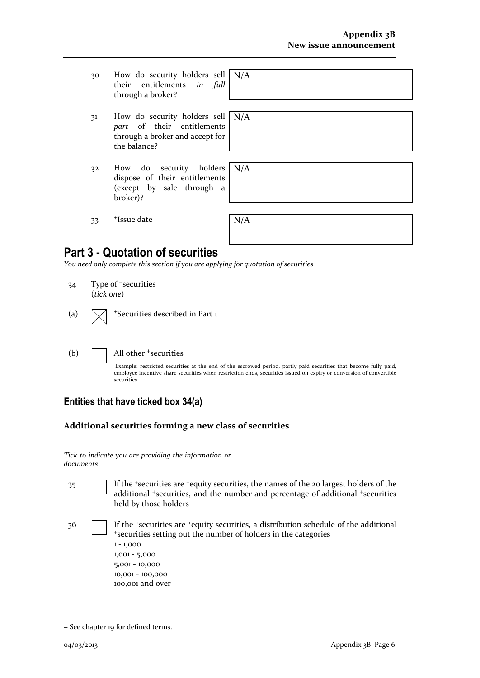- 30 How do security holders sell N/A their entitlements *in full* through a broker?
- 31 How do security holders sell *part* of their entitlements through a broker and accept for the balance?
- 32 How do security holders dispose of their entitlements (except by sale through a broker)?

N/A

N/A

33 <sup>+</sup>Issue date

| N/A |  |  |  |
|-----|--|--|--|
|     |  |  |  |
|     |  |  |  |

## **Part 3 - Quotation of securities**

*You need only complete this section if you are applying for quotation of securities*

34 Type of +securities (*tick one*)

|  |  | (a) $\sqrt{\phantom{a}}$ +Securities described in Part 1 |
|--|--|----------------------------------------------------------|
|--|--|----------------------------------------------------------|

### (b) All other <sup>+</sup>securities

Example: restricted securities at the end of the escrowed period, partly paid securities that become fully paid, employee incentive share securities when restriction ends, securities issued on expiry or conversion of convertible securities

## **Entities that have ticked box 34(a)**

## **Additional securities forming a new class of securities**

|           | Tick to indicate you are providing the information or |  |  |
|-----------|-------------------------------------------------------|--|--|
| documents |                                                       |  |  |

- 35 If the +securities are +equity securities, the names of the 20 largest holders of the additional <sup>+</sup>securities, and the number and percentage of additional <sup>+</sup>securities held by those holders
- 36 If the +securities are +equity securities, a distribution schedule of the additional <sup>+</sup>securities setting out the number of holders in the categories 1 - 1,000
	- 1,001 5,000 5,001 - 10,000 10,001 - 100,000 100,001 and over

<sup>+</sup> See chapter 19 for defined terms.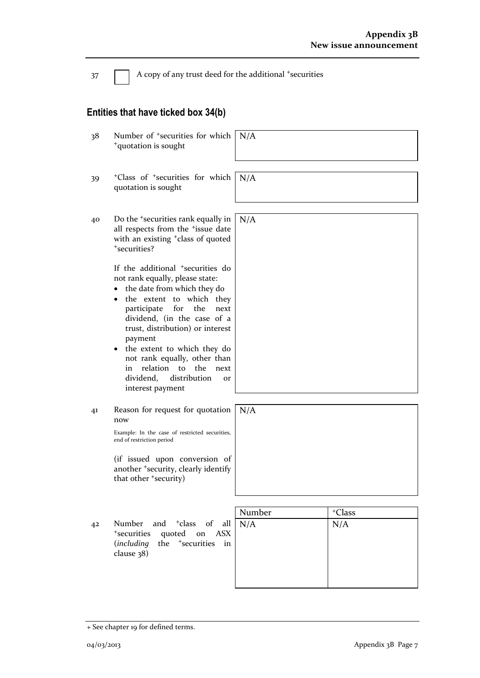37 A copy of any trust deed for the additional +securities

## **Entities that have ticked box 34(b)**

| 38 | Number of <sup>+</sup> securities for which<br><sup>+</sup> quotation is sought                                                                                                                                                                                                                                                                                                                                                         | N/A           |                           |
|----|-----------------------------------------------------------------------------------------------------------------------------------------------------------------------------------------------------------------------------------------------------------------------------------------------------------------------------------------------------------------------------------------------------------------------------------------|---------------|---------------------------|
| 39 | <sup>+</sup> Class of <sup>+</sup> securities for which<br>quotation is sought                                                                                                                                                                                                                                                                                                                                                          | N/A           |                           |
| 40 | Do the <sup>+</sup> securities rank equally in<br>all respects from the <sup>+</sup> issue date<br>with an existing <sup>+</sup> class of quoted<br>*securities?                                                                                                                                                                                                                                                                        | N/A           |                           |
|    | If the additional <sup>+</sup> securities do<br>not rank equally, please state:<br>the date from which they do<br>$\bullet$<br>the extent to which they<br>for<br>the<br>participate<br>next<br>dividend, (in the case of a<br>trust, distribution) or interest<br>payment<br>the extent to which they do<br>not rank equally, other than<br>relation<br>the<br>to<br>in<br>next<br>dividend,<br>distribution<br>or<br>interest payment |               |                           |
| 41 | Reason for request for quotation<br>now<br>Example: In the case of restricted securities,<br>end of restriction period                                                                                                                                                                                                                                                                                                                  | N/A           |                           |
|    | (if issued upon conversion of<br>another <sup>+</sup> security, clearly identify<br>that other <sup>+</sup> security)                                                                                                                                                                                                                                                                                                                   |               |                           |
| 42 | Number<br>and <sup>+</sup> class<br>of<br>all<br><sup>+</sup> securities<br>quoted on<br><b>ASX</b><br>the <sup>+</sup> securities<br>including)<br>in<br>clause 38)                                                                                                                                                                                                                                                                    | Number<br>N/A | <sup>+</sup> Class<br>N/A |

<sup>+</sup> See chapter 19 for defined terms.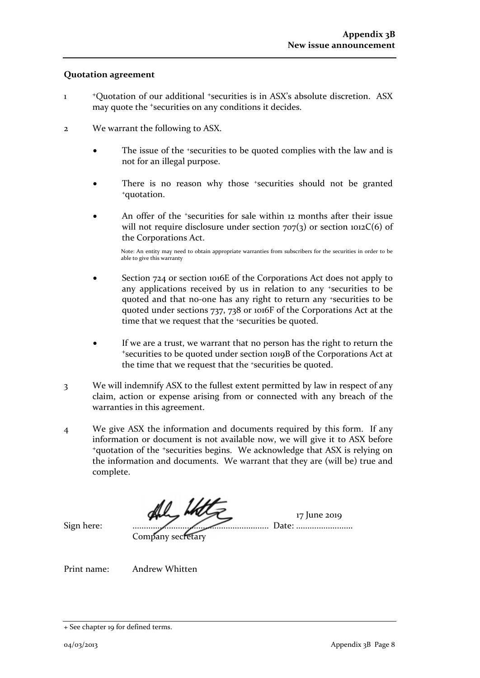### **Quotation agreement**

- 1 <sup>+</sup>Quotation of our additional +securities is in ASX's absolute discretion. ASX may quote the <sup>+</sup>securities on any conditions it decides.
- 2 We warrant the following to ASX.
	- The issue of the *\*securities* to be quoted complies with the law and is not for an illegal purpose.
	- There is no reason why those <sup>+</sup>securities should not be granted <sup>+</sup>quotation.
	- An offer of the *\*securities* for sale within 12 months after their issue will not require disclosure under section  $707(3)$  or section  $1012C(6)$  of the Corporations Act.

Note: An entity may need to obtain appropriate warranties from subscribers for the securities in order to be able to give this warranty

- Section 724 or section 1016E of the Corporations Act does not apply to any applications received by us in relation to any +securities to be quoted and that no-one has any right to return any +securities to be quoted under sections 737, 738 or 1016F of the Corporations Act at the time that we request that the <sup>+</sup>securities be quoted.
- If we are a trust, we warrant that no person has the right to return the <sup>+</sup>securities to be quoted under section 1019B of the Corporations Act at the time that we request that the +securities be quoted.
- 3 We will indemnify ASX to the fullest extent permitted by law in respect of any claim, action or expense arising from or connected with any breach of the warranties in this agreement.
- 4 We give ASX the information and documents required by this form. If any information or document is not available now, we will give it to ASX before <sup>+</sup>quotation of the +securities begins. We acknowledge that ASX is relying on the information and documents. We warrant that they are (will be) true and complete.

the Water 17 June 2019 Sign here: ............................................................ Date: .........................

Company secretary

Print name: Andrew Whitten

<sup>+</sup> See chapter 19 for defined terms.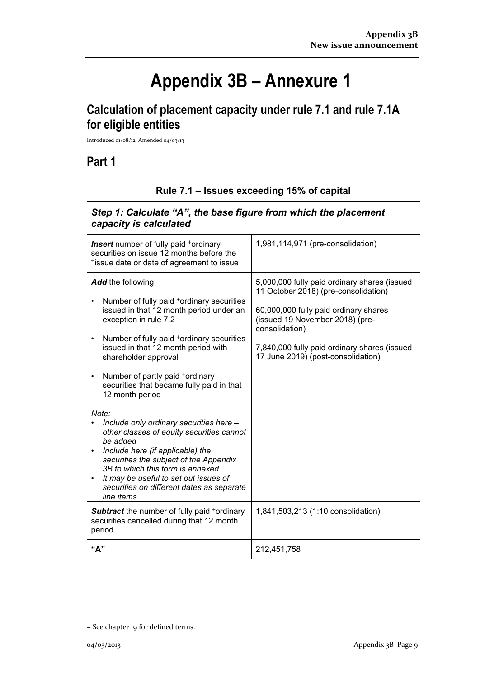# **Appendix 3B – Annexure 1**

# **Calculation of placement capacity under rule 7.1 and rule 7.1A for eligible entities**

Introduced 01/08/12 Amended 04/03/13

## **Part 1**

 $\mathsf{r}$ 

|                                                                                                                                                                                                                                                                                                                                                                                                                                                                                                                                                                                                                                                                                                                                                                                                                          | Rule 7.1 – Issues exceeding 15% of capital                                                                                                                                                                                                                                                                     |  |  |  |  |
|--------------------------------------------------------------------------------------------------------------------------------------------------------------------------------------------------------------------------------------------------------------------------------------------------------------------------------------------------------------------------------------------------------------------------------------------------------------------------------------------------------------------------------------------------------------------------------------------------------------------------------------------------------------------------------------------------------------------------------------------------------------------------------------------------------------------------|----------------------------------------------------------------------------------------------------------------------------------------------------------------------------------------------------------------------------------------------------------------------------------------------------------------|--|--|--|--|
| Step 1: Calculate "A", the base figure from which the placement<br>capacity is calculated                                                                                                                                                                                                                                                                                                                                                                                                                                                                                                                                                                                                                                                                                                                                |                                                                                                                                                                                                                                                                                                                |  |  |  |  |
| <b>Insert</b> number of fully paid <sup>+</sup> ordinary<br>securities on issue 12 months before the<br>*issue date or date of agreement to issue                                                                                                                                                                                                                                                                                                                                                                                                                                                                                                                                                                                                                                                                        | 1,981,114,971 (pre-consolidation)                                                                                                                                                                                                                                                                              |  |  |  |  |
| Add the following:<br>Number of fully paid <sup>+</sup> ordinary securities<br>$\bullet$<br>issued in that 12 month period under an<br>exception in rule 7.2<br>Number of fully paid +ordinary securities<br>$\bullet$<br>issued in that 12 month period with<br>shareholder approval<br>Number of partly paid +ordinary<br>$\bullet$<br>securities that became fully paid in that<br>12 month period<br>Note:<br>Include only ordinary securities here -<br>other classes of equity securities cannot<br>be added<br>Include here (if applicable) the<br>$\bullet$<br>securities the subject of the Appendix<br>3B to which this form is annexed<br>It may be useful to set out issues of<br>$\bullet$<br>securities on different dates as separate<br>line items<br><b>Subtract</b> the number of fully paid +ordinary | 5,000,000 fully paid ordinary shares (issued<br>11 October 2018) (pre-consolidation)<br>60,000,000 fully paid ordinary shares<br>(issued 19 November 2018) (pre-<br>consolidation)<br>7,840,000 fully paid ordinary shares (issued<br>17 June 2019) (post-consolidation)<br>1,841,503,213 (1:10 consolidation) |  |  |  |  |
| securities cancelled during that 12 month<br>period                                                                                                                                                                                                                                                                                                                                                                                                                                                                                                                                                                                                                                                                                                                                                                      |                                                                                                                                                                                                                                                                                                                |  |  |  |  |
| "А"                                                                                                                                                                                                                                                                                                                                                                                                                                                                                                                                                                                                                                                                                                                                                                                                                      | 212,451,758                                                                                                                                                                                                                                                                                                    |  |  |  |  |

<sup>+</sup> See chapter 19 for defined terms.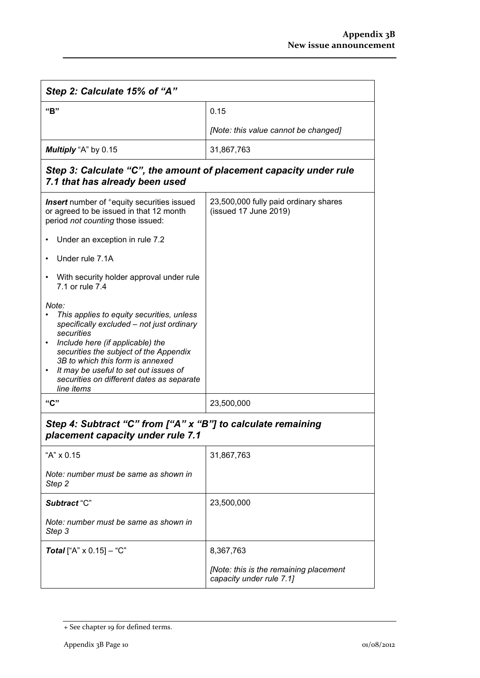| Step 2: Calculate 15% of "A"                                                                                                                                                                                                                                                                                                                                  |                                                                    |  |  |
|---------------------------------------------------------------------------------------------------------------------------------------------------------------------------------------------------------------------------------------------------------------------------------------------------------------------------------------------------------------|--------------------------------------------------------------------|--|--|
| "B"                                                                                                                                                                                                                                                                                                                                                           | 0.15                                                               |  |  |
|                                                                                                                                                                                                                                                                                                                                                               | [Note: this value cannot be changed]                               |  |  |
| Multiply "A" by 0.15                                                                                                                                                                                                                                                                                                                                          | 31,867,763                                                         |  |  |
| Step 3: Calculate "C", the amount of placement capacity under rule<br>7.1 that has already been used                                                                                                                                                                                                                                                          |                                                                    |  |  |
| <b>Insert</b> number of <sup>+</sup> equity securities issued<br>or agreed to be issued in that 12 month<br>period not counting those issued:                                                                                                                                                                                                                 | 23,500,000 fully paid ordinary shares<br>(issued 17 June 2019)     |  |  |
| Under an exception in rule 7.2                                                                                                                                                                                                                                                                                                                                |                                                                    |  |  |
| Under rule 7.1A                                                                                                                                                                                                                                                                                                                                               |                                                                    |  |  |
| With security holder approval under rule<br>7.1 or rule 7.4                                                                                                                                                                                                                                                                                                   |                                                                    |  |  |
| Note:<br>This applies to equity securities, unless<br>specifically excluded - not just ordinary<br>securities<br>Include here (if applicable) the<br>$\bullet$<br>securities the subject of the Appendix<br>3B to which this form is annexed<br>It may be useful to set out issues of<br>$\bullet$<br>securities on different dates as separate<br>line items |                                                                    |  |  |
| "C"                                                                                                                                                                                                                                                                                                                                                           | 23,500,000                                                         |  |  |
| Step 4: Subtract "C" from ["A" x "B"] to calculate remaining<br>placement capacity under rule 7.1<br>"A" x 0.15                                                                                                                                                                                                                                               | 31,867,763                                                         |  |  |
| Note: number must be same as shown in<br>Step 2                                                                                                                                                                                                                                                                                                               |                                                                    |  |  |
| Subtract "C"                                                                                                                                                                                                                                                                                                                                                  | 23,500,000                                                         |  |  |
| Note: number must be same as shown in<br>Step 3                                                                                                                                                                                                                                                                                                               |                                                                    |  |  |
| <b>Total</b> ["A" $\times$ 0.15] – "C"                                                                                                                                                                                                                                                                                                                        | 8,367,763                                                          |  |  |
|                                                                                                                                                                                                                                                                                                                                                               | [Note: this is the remaining placement<br>capacity under rule 7.1] |  |  |

<sup>+</sup> See chapter 19 for defined terms.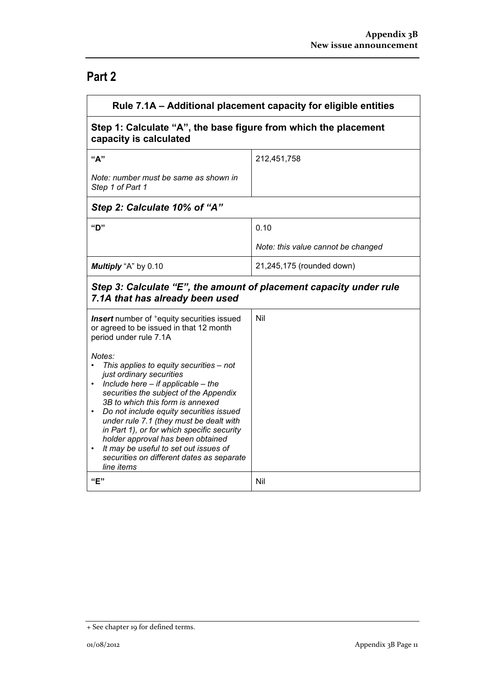# **Part 2**

| Rule 7.1A – Additional placement capacity for eligible entities                                                                                                                                                                                                                                                                                                                                                                                                                                                           |                                    |  |  |
|---------------------------------------------------------------------------------------------------------------------------------------------------------------------------------------------------------------------------------------------------------------------------------------------------------------------------------------------------------------------------------------------------------------------------------------------------------------------------------------------------------------------------|------------------------------------|--|--|
| Step 1: Calculate "A", the base figure from which the placement<br>capacity is calculated                                                                                                                                                                                                                                                                                                                                                                                                                                 |                                    |  |  |
| "А"                                                                                                                                                                                                                                                                                                                                                                                                                                                                                                                       | 212,451,758                        |  |  |
| Note: number must be same as shown in<br>Step 1 of Part 1                                                                                                                                                                                                                                                                                                                                                                                                                                                                 |                                    |  |  |
| Step 2: Calculate 10% of "A"                                                                                                                                                                                                                                                                                                                                                                                                                                                                                              |                                    |  |  |
| "D"                                                                                                                                                                                                                                                                                                                                                                                                                                                                                                                       | 0.10                               |  |  |
|                                                                                                                                                                                                                                                                                                                                                                                                                                                                                                                           | Note: this value cannot be changed |  |  |
| Multiply "A" by 0.10                                                                                                                                                                                                                                                                                                                                                                                                                                                                                                      | 21,245,175 (rounded down)          |  |  |
| Step 3: Calculate "E", the amount of placement capacity under rule<br>7.1A that has already been used                                                                                                                                                                                                                                                                                                                                                                                                                     |                                    |  |  |
| Insert number of <sup>+</sup> equity securities issued<br>or agreed to be issued in that 12 month<br>period under rule 7.1A                                                                                                                                                                                                                                                                                                                                                                                               | Nil                                |  |  |
| Notes:<br>This applies to equity securities - not<br>just ordinary securities<br>Include here $-$ if applicable $-$ the<br>$\bullet$<br>securities the subject of the Appendix<br>3B to which this form is annexed<br>Do not include equity securities issued<br>$\bullet$<br>under rule 7.1 (they must be dealt with<br>in Part 1), or for which specific security<br>holder approval has been obtained<br>It may be useful to set out issues of<br>$\bullet$<br>securities on different dates as separate<br>line items |                                    |  |  |
| "F"                                                                                                                                                                                                                                                                                                                                                                                                                                                                                                                       | Nil                                |  |  |

<sup>+</sup> See chapter 19 for defined terms.